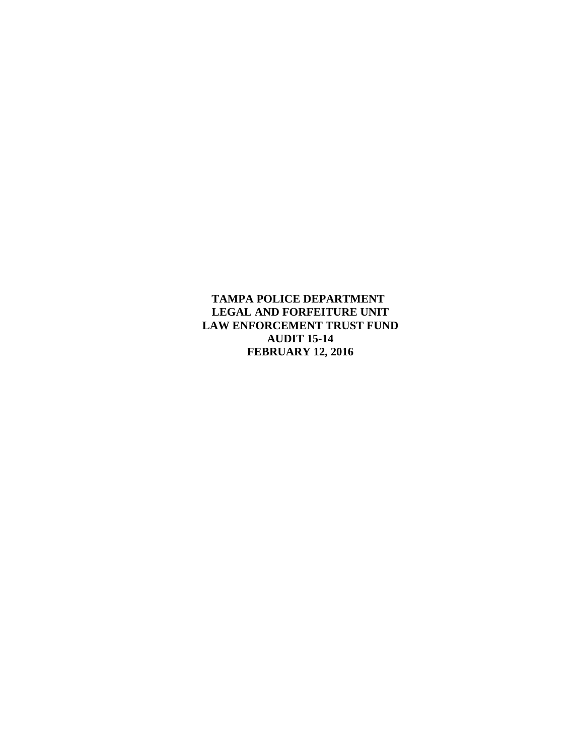**TAMPA POLICE DEPARTMENT LEGAL AND FORFEITURE UNIT LAW ENFORCEMENT TRUST FUND AUDIT 15-14 FEBRUARY 12, 2016**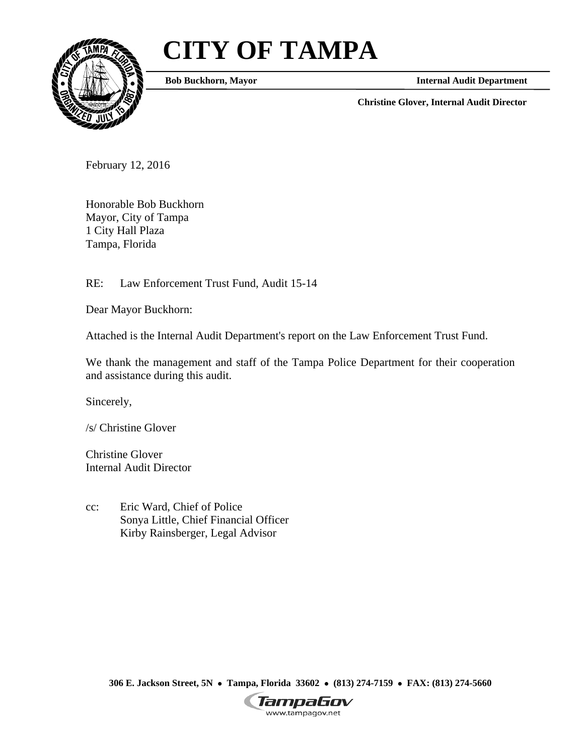# **CITY OF TAMPA**



**Bob Buckhorn, Mayor Internal Audit Department** 

**Christine Glover, Internal Audit Director** 

February 12, 2016

Honorable Bob Buckhorn Mayor, City of Tampa 1 City Hall Plaza Tampa, Florida

RE: Law Enforcement Trust Fund, Audit 15-14

Dear Mayor Buckhorn:

Attached is the Internal Audit Department's report on the Law Enforcement Trust Fund.

We thank the management and staff of the Tampa Police Department for their cooperation and assistance during this audit.

Sincerely,

/s/ Christine Glover

Christine Glover Internal Audit Director

cc: Eric Ward, Chief of Police Sonya Little, Chief Financial Officer Kirby Rainsberger, Legal Advisor

 **306 E. Jackson Street, 5N Tampa, Florida 33602 (813) 274-7159 FAX: (813) 274-5660** 

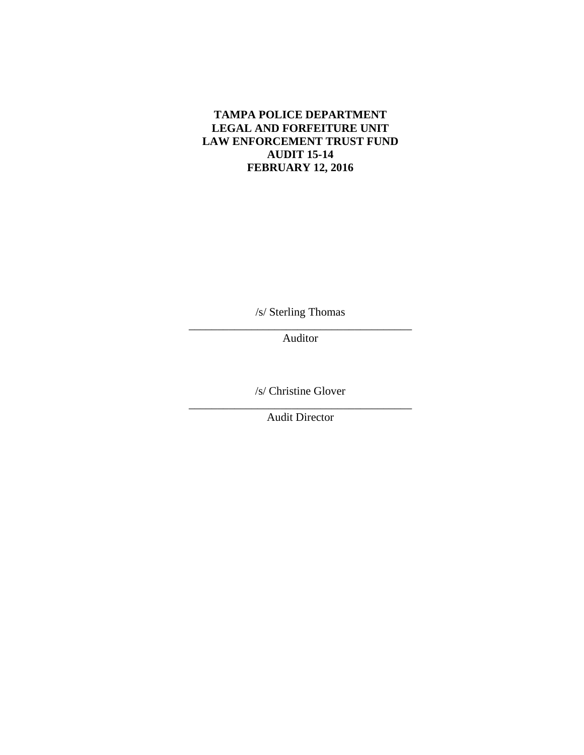#### **TAMPA POLICE DEPARTMENT LEGAL AND FORFEITURE UNIT LAW ENFORCEMENT TRUST FUND AUDIT 15-14 FEBRUARY 12, 2016**

\_\_\_\_\_\_\_\_\_\_\_\_\_\_\_\_\_\_\_\_\_\_\_\_\_\_\_\_\_\_\_\_\_\_\_\_\_\_\_ /s/ Sterling Thomas

Auditor

\_\_\_\_\_\_\_\_\_\_\_\_\_\_\_\_\_\_\_\_\_\_\_\_\_\_\_\_\_\_\_\_\_\_\_\_\_\_\_ /s/ Christine Glover

Audit Director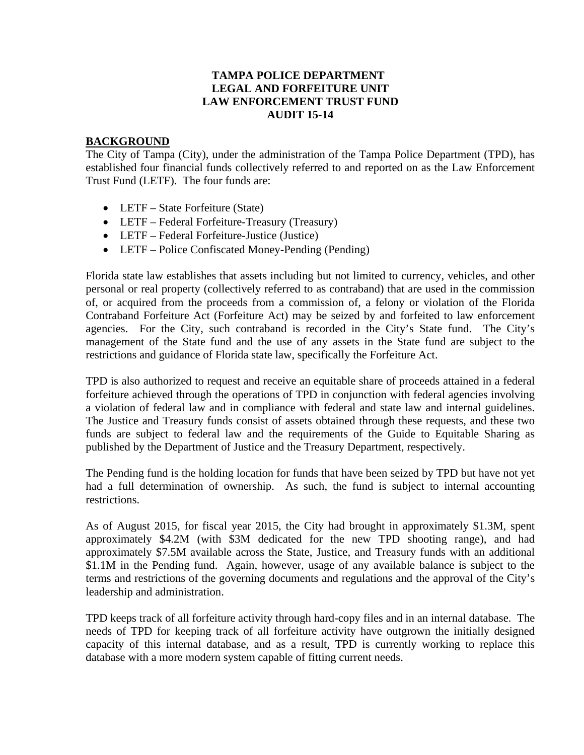#### **TAMPA POLICE DEPARTMENT LEGAL AND FORFEITURE UNIT LAW ENFORCEMENT TRUST FUND AUDIT 15-14**

#### **BACKGROUND**

The City of Tampa (City), under the administration of the Tampa Police Department (TPD), has established four financial funds collectively referred to and reported on as the Law Enforcement Trust Fund (LETF). The four funds are:

- LETF State Forfeiture (State)
- LETF Federal Forfeiture-Treasury (Treasury)
- LETF Federal Forfeiture-Justice (Justice)
- LETF Police Confiscated Money-Pending (Pending)

Florida state law establishes that assets including but not limited to currency, vehicles, and other personal or real property (collectively referred to as contraband) that are used in the commission of, or acquired from the proceeds from a commission of, a felony or violation of the Florida Contraband Forfeiture Act (Forfeiture Act) may be seized by and forfeited to law enforcement agencies. For the City, such contraband is recorded in the City's State fund. The City's management of the State fund and the use of any assets in the State fund are subject to the restrictions and guidance of Florida state law, specifically the Forfeiture Act.

a violation of federal law and in compliance with federal and state law and internal guidelines. TPD is also authorized to request and receive an equitable share of proceeds attained in a federal forfeiture achieved through the operations of TPD in conjunction with federal agencies involving The Justice and Treasury funds consist of assets obtained through these requests, and these two funds are subject to federal law and the requirements of the Guide to Equitable Sharing as published by the Department of Justice and the Treasury Department, respectively.

The Pending fund is the holding location for funds that have been seized by TPD but have not yet had a full determination of ownership. As such, the fund is subject to internal accounting restrictions.

As of August 2015, for fiscal year 2015, the City had brought in approximately \$1.3M, spent approximately \$4.2M (with \$3M dedicated for the new TPD shooting range), and had approximately \$7.5M available across the State, Justice, and Treasury funds with an additional \$1.1M in the Pending fund. Again, however, usage of any available balance is subject to the terms and restrictions of the governing documents and regulations and the approval of the City's leadership and administration.

TPD keeps track of all forfeiture activity through hard-copy files and in an internal database. The needs of TPD for keeping track of all forfeiture activity have outgrown the initially designed capacity of this internal database, and as a result, TPD is currently working to replace this database with a more modern system capable of fitting current needs.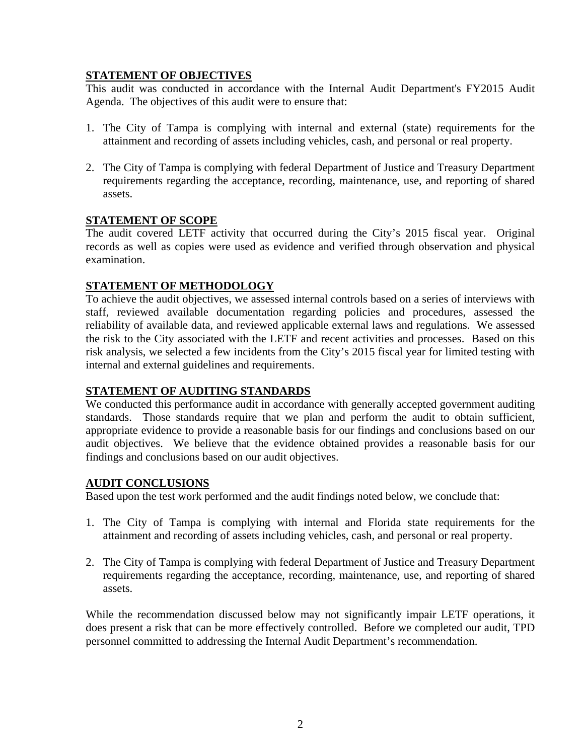## **STATEMENT OF OBJECTIVES**

This audit was conducted in accordance with the Internal Audit Department's FY2015 Audit Agenda. The objectives of this audit were to ensure that:

- 1. The City of Tampa is complying with internal and external (state) requirements for the attainment and recording of assets including vehicles, cash, and personal or real property.
- 2. The City of Tampa is complying with federal Department of Justice and Treasury Department requirements regarding the acceptance, recording, maintenance, use, and reporting of shared assets.

## **STATEMENT OF SCOPE**

The audit covered LETF activity that occurred during the City's 2015 fiscal year. Original records as well as copies were used as evidence and verified through observation and physical examination.

## **STATEMENT OF METHODOLOGY**

To achieve the audit objectives, we assessed internal controls based on a series of interviews with staff, reviewed available documentation regarding policies and procedures, assessed the reliability of available data, and reviewed applicable external laws and regulations. We assessed the risk to the City associated with the LETF and recent activities and processes. Based on this risk analysis, we selected a few incidents from the City's 2015 fiscal year for limited testing with internal and external guidelines and requirements.

#### **STATEMENT OF AUDITING STANDARDS**

We conducted this performance audit in accordance with generally accepted government auditing standards. Those standards require that we plan and perform the audit to obtain sufficient, appropriate evidence to provide a reasonable basis for our findings and conclusions based on our audit objectives. We believe that the evidence obtained provides a reasonable basis for our findings and conclusions based on our audit objectives.

## **AUDIT CONCLUSIONS**

Based upon the test work performed and the audit findings noted below, we conclude that:

- 1. The City of Tampa is complying with internal and Florida state requirements for the attainment and recording of assets including vehicles, cash, and personal or real property.
- 2. The City of Tampa is complying with federal Department of Justice and Treasury Department requirements regarding the acceptance, recording, maintenance, use, and reporting of shared assets.

While the recommendation discussed below may not significantly impair LETF operations, it does present a risk that can be more effectively controlled. Before we completed our audit, TPD personnel committed to addressing the Internal Audit Department's recommendation.